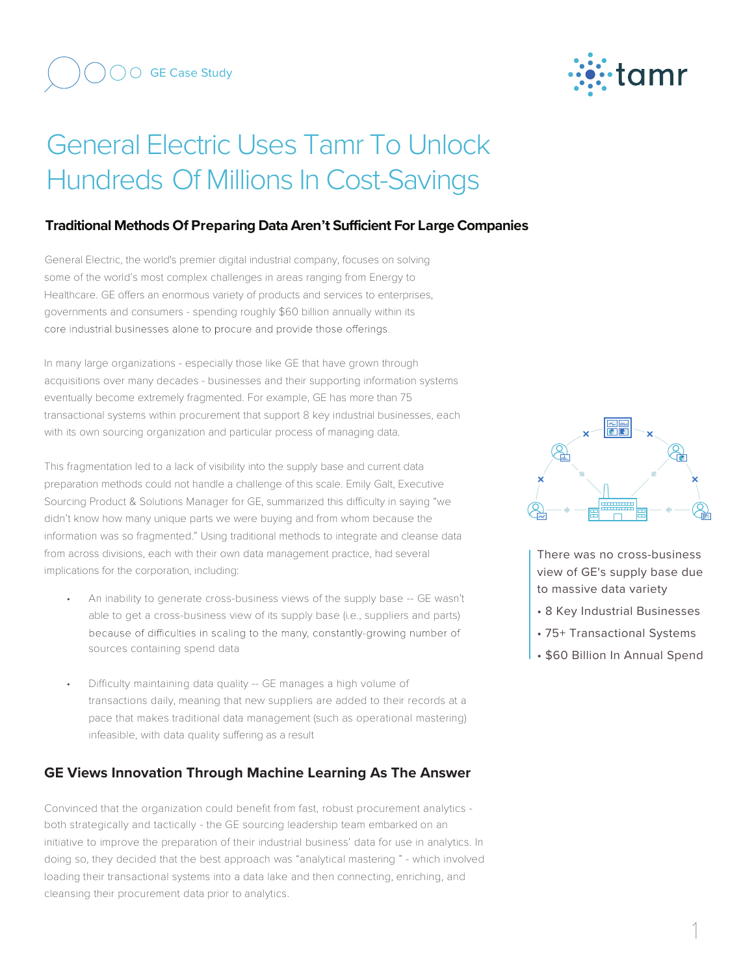

## General Electric Uses Tamr To Unlock Hundreds Of Millions In Cost-Savings

## **Traditional Methods Of Preparing Data Aren't Sufficient For Large Companies**

General Electric, the world's premier digital industrial company, focuses on solving some of the world's most complex challenges in areas ranging from Energy to Healthcare. GE offers an enormous variety of products and services to enterprises, governments and consumers - spending roughly \$60 billion annually within its core industrial businesses alone to procure and provide those offerings.

In many large organizations - especially those like GE that have grown through acquisitions over many decades - businesses and their supporting information systems eventually become extremely fragmented. For example, GE has more than 75 transactional systems within procurement that support 8 key industrial businesses, each with its own sourcing organization and particular process of managing data.

This fragmentation led to a lack of visibility into the supply base and current data preparation methods could not handle a challenge of this scale. Emily Galt, Executive Sourcing Product & Solutions Manager for GE, summarized this difficulty in saying "we didn't know how many unique parts we were buying and from whom because the information was so fragmented." Using traditional methods to integrate and cleanse data from across divisions, each with their own data management practice, had several implications for the corporation, including:

- An inability to generate cross-business views of the supply base -- GE wasn't able to get a cross-business view of its supply base (i.e., suppliers and parts) because of difficulties in scaling to the many, constantly-growing number of sources containing spend data
- Difficulty maintaining data quality -- GE manages a high volume of transactions daily, meaning that new suppliers are added to their records at a pace that makes traditional data management (such as operational mastering) infeasible, with data quality suffering as a result

## **GE Views Innovation Through Machine Learning As The Answer**

Convinced that the organization could benefit from fast, robust procurement analytics both strategically and tactically - the GE sourcing leadership team embarked on an initiative to improve the preparation of their industrial business' data for use in analytics. In doing so, they decided that the best approach was "analytical mastering " - which involved loading their transactional systems into a data lake and then connecting, enriching, and cleansing their procurement data prior to analytics.



There was no cross-business view of GE's supply base due to massive data variety

- 8 Key Industrial Businesses
- 75+ Transactional Systems
- \$60 Billion In Annual Spend